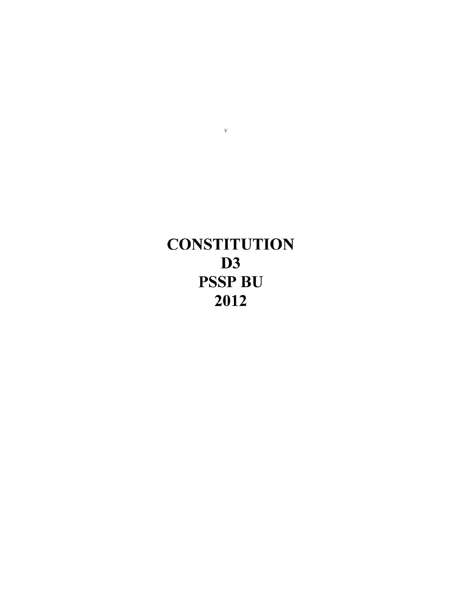# **CONSTITUTION** D3 PSSP BU 2012

 $\hat{\mathbf{F}}$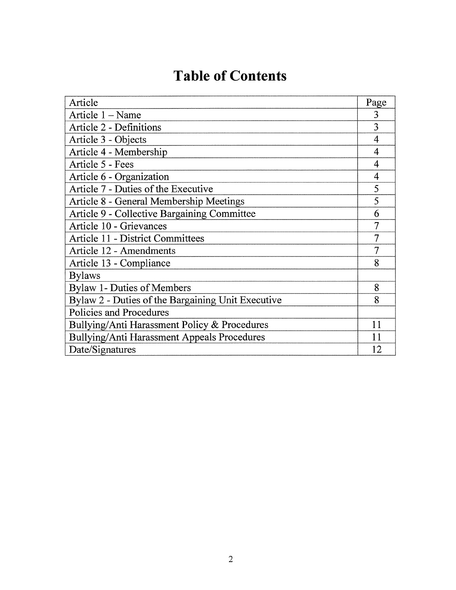## **Table of Contents**

| Article                                           | Page           |
|---------------------------------------------------|----------------|
| Article 1 – Name                                  | 3              |
| Article 2 - Definitions                           | 3              |
| Article 3 - Objects                               | 4              |
| Article 4 - Membership                            | 4              |
| Article 5 - Fees                                  | 4              |
| Article 6 - Organization                          | $\overline{4}$ |
| Article 7 - Duties of the Executive               | 5              |
| Article 8 - General Membership Meetings           | 5              |
| Article 9 - Collective Bargaining Committee       | 6              |
| Article 10 - Grievances                           | 7              |
| <b>Article 11 - District Committees</b>           | $\overline{7}$ |
| Article 12 - Amendments                           | $\overline{7}$ |
| Article 13 - Compliance                           | 8              |
| <b>Bylaws</b>                                     |                |
| <b>Bylaw 1- Duties of Members</b>                 | 8              |
| Bylaw 2 - Duties of the Bargaining Unit Executive | 8              |
| Policies and Procedures                           |                |
| Bullying/Anti Harassment Policy & Procedures      | 11             |
| Bullying/Anti Harassment Appeals Procedures       | 11             |
| Date/Signatures                                   | 12             |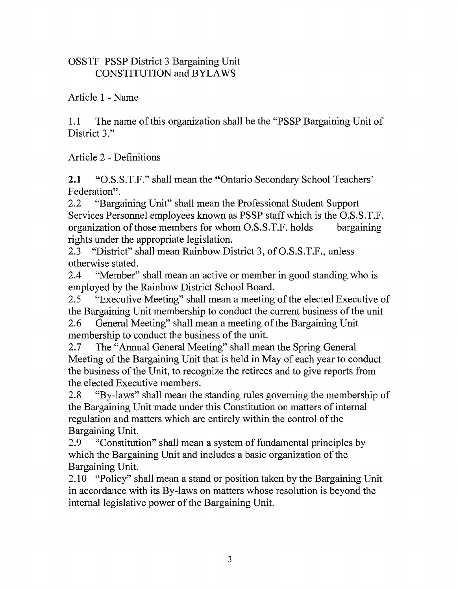#### OSSTF PSSP District 3 Bargaining Unit CONSTITUTION and BYLAWS

Article 1 -Name

1.1 The name of this organization shall be the "PSSP Bargaining Unit of District 3."

Article 2 - Definitions

2.1 "O.S.S.T.F." shall mean the "Ontario Secondary School Teachers' Federation".

2.2 "Bargaining Unit" shall mean the Professional Student Support Services Personnel employees known as PSSP staff which is the O.S.S.T.F. organization of those members for whom O.S.S.T.F. holds bargaining rights under the appropriate legislation.

2.3 "District" shall mean Rainbow District 3, of O.S.S.T.F., unless otherwise stated.

2.4 "Member" shall mean an active or member in good standing who is employed by the Rainbow District School Board.

2.5 "Executive Meeting" shall mean a meeting of the elected Executive of the Bargaining Unit membership to conduct the current business of the unit

2.6 General Meeting" shall mean a meeting of the Bargaining Unit membership to conduct the business of the unit.

2.7 The "Annual General Meeting" shall mean the Spring General Meeting of the Bargaining Unit that is held in May of each year to conduct the business of the Unit, to recognize the retirees and to give reports from the elected Executive members.

2.8 "By-laws" shall mean the standing rules governing the membership of the Bargaining Unit made under this Constitution on matters of internal regulation and matters which are entirely within the control of the Bargaining Unit.

2.9 "Constitution" shall mean a system of fundamental principles by which the Bargaining Unit and includes a basic organization of the Bargaining Unit.

2.10 "Policy" shall mean a stand or position taken by the Bargaining Unit in accordance with its By-laws on matters whose resolution is beyond the internal legislative power of the Bargaining Unit.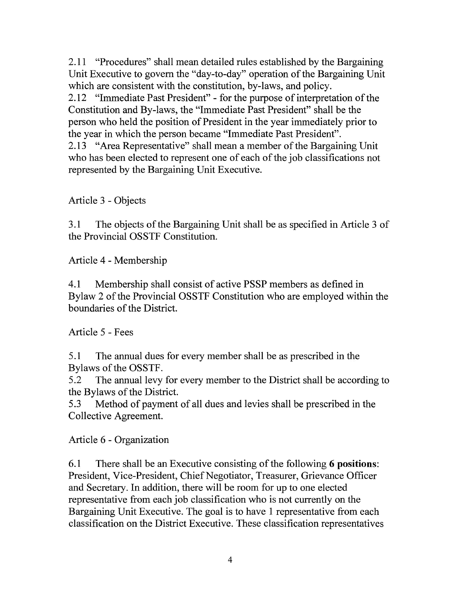2.11 "Procedures" shall mean detailed rules established by the Bargaining Unit Executive to govern the "day-to-day" operation of the Bargaining Unit which are consistent with the constitution, by-laws, and policy.

2.12 "Immediate Past President"- for the purpose of interpretation of the Constitution and By-laws, the "Immediate Past President" shall be the person who held the position of President in the year immediately prior to the year in which the person became "Immediate Past President".

2.13 "Area Representative" shall mean a member of the Bargaining Unit who has been elected to represent one of each of the job classifications not represented by the Bargaining Unit Executive.

Article 3 - Objects

3.1 The objects of the Bargaining Unit shall be as specified in Article 3 of the Provincial OSSTF Constitution.

Article 4 - Membership

4.1 Membership shall consist of active PSSP members as defined in Bylaw 2 of the Provincial OSSTF Constitution who are employed within the boundaries of the District.

Article 5 - Fees

5 .1 The annual dues for every member shall be as prescribed in the Bylaws of the OSSTF.

5.2 The annual levy for every member to the District shall be according to the Bylaws of the District.

5.3 Method of payment of all dues and levies shall be prescribed in the Collective Agreement.

Article 6 - Organization

6.1 There shall be an Executive consisting of the following 6 **positions:**  President, Vice-President, Chief Negotiator, Treasurer, Grievance Officer and Secretary. In addition, there will be room for up to one elected representative from each job classification who is not currently on the Bargaining Unit Executive. The goal is to have 1 representative from each classification on the District Executive. These classification representatives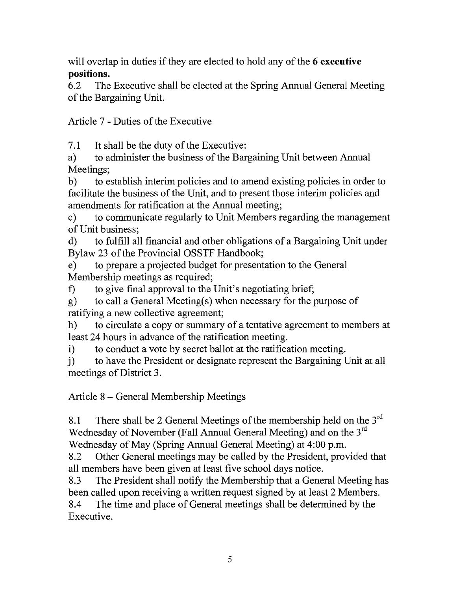will overlap in duties if they are elected to hold any of the **6 executive positions.** 

6.2 The Executive shall be elected at the Spring Annual General Meeting of the Bargaining Unit.

Article 7 - Duties of the Executive

7.1 It shall be the duty of the Executive:

a) to administer the business of the Bargaining Unit between Annual Meetings;

b) to establish interim policies and to amend existing policies in order to facilitate the business of the Unit, and to present those interim policies and amendments for ratification at the Annual meeting;

c) to communicate regularly to Unit Members regarding the management of Unit business;

d) to fulfill all financial and other obligations of a Bargaining Unit under Bylaw 23 of the Provincial OSSTF Handbook;

e) to prepare a projected budget for presentation to the General Membership meetings as required;

f) to give final approval to the Unit's negotiating brief;

g) to call a General Meeting(s) when necessary for the purpose of ratifying a new collective agreement;

h) to circulate a copy or summary of a tentative agreement to members at least 24 hours in advance of the ratification meeting.

i) to conduct a vote by secret ballot at the ratification meeting.

j) to have the President or designate represent the Bargaining Unit at all meetings of District 3.

Article 8- General Membership Meetings

8.1 There shall be 2 General Meetings of the membership held on the  $3<sup>rd</sup>$ Wednesday of November (Fall Annual General Meeting) and on the  $3<sup>rd</sup>$ Wednesday of May (Spring Annual General Meeting) at 4:00 p.m.

8.2 Other General meetings may be called by the President, provided that all members have been given at least five school days notice.

8.3 The President shall notify the Membership that a General Meeting has been called upon receiving a written request signed by at least 2 Members.

8.4 The time and place of General meetings shall be determined by the Executive.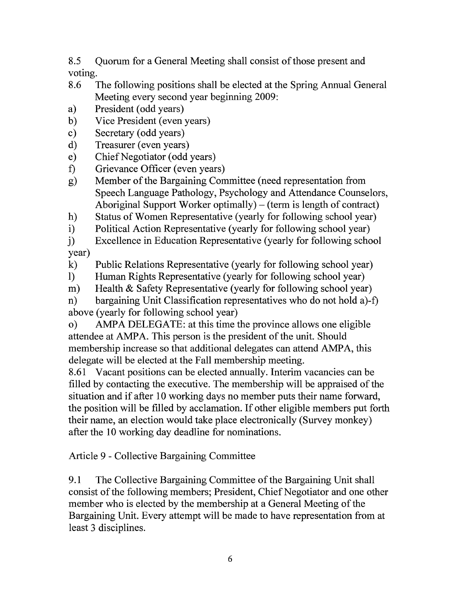8.5 Quorum for a General Meeting shall consist of those present and voting.

- 8.6 The following positions shall be elected at the Spring Annual General Meeting every second year beginning 2009:
- a) President (odd years)
- b) Vice President (even years)
- c) Secretary (odd years)
- d) Treasurer (even years)
- e) Chief Negotiator (odd years)
- f) Grievance Officer (even years)
- g) Member of the Bargaining Committee (need representation from Speech Language Pathology, Psychology and Attendance Counselors, Aboriginal Support Worker optimally)  $-$  (term is length of contract)
- h) Status of Women Representative (yearly for following school year) i) Political Action Representative (yearly for following school year)
- Political Action Representative (yearly for following school year)

j) Excellence in Education Representative (yearly for following school year)

- k) Public Relations Representative (yearly for following school year)
- 1) Human Rights Representative (yearly for following school year)
- m) Health & Safety Representative (yearly for following school year)

n) bargaining Unit Classification representatives who do not hold a)-f) above (yearly for following school year)

o) AMPA DELEGATE: at this time the province allows one eligible attendee at AMPA. This person is the president of the unit. Should membership increase so that additional delegates can attend AMPA, this delegate will be elected at the Fall membership meeting.

8.61 Vacant positions can be elected annually. Interim vacancies can be filled by contacting the executive. The membership will be appraised of the situation and if after 10 working days no member puts their name forward, the position will be filled by acclamation. If other eligible members put forth their name, an election would take place electronically (Survey monkey) after the 10 working day deadline for nominations.

Article 9 - Collective Bargaining Committee

9.1 The Collective Bargaining Committee of the Bargaining Unit shall consist of the following members; President, Chief Negotiator and one other member who is elected by the membership at a General Meeting of the Bargaining Unit. Every attempt will be made to have representation from at least 3 disciplines.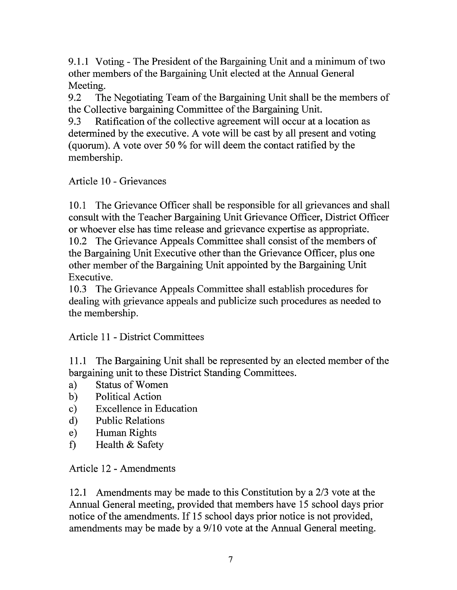9 .1.1 Voting - The President of the Bargaining Unit and a minimum of two other members of the Bargaining Unit elected at the Annual General Meeting.

9.2 The Negotiating Team of the Bargaining Unit shall be the members of the Collective bargaining Committee of the Bargaining Unit.

9.3 Ratification of the collective agreement will occur at a location as determined by the executive. A vote will be cast by all present and voting (quorum). A vote over 50% for will deem the contact ratified by the membership.

#### Article 10 - Grievances

10.1 The Grievance Officer shall be responsible for all grievances and shall consult with the Teacher Bargaining Unit Grievance Officer, District Officer or whoever else has time release and grievance expertise as appropriate.

10.2 The Grievance Appeals Committee shall consist of the members of the Bargaining Unit Executive other than the Grievance Officer, plus one other member of the Bargaining Unit appointed by the Bargaining Unit Executive.

10.3 The Grievance Appeals Committee shall establish procedures for dealing with grievance appeals and publicize such procedures as needed to the membership.

#### Article 11 - District Committees

11.1 The Bargaining Unit shall be represented by an elected member of the bargaining unit to these District Standing Committees.

- a) Status of Women
- b) Political Action
- c) Excellence in Education
- d) Public Relations
- e) Human Rights
- f) Health & Safety

Article 12- Amendments

12.1 Amendments may be made to this Constitution by a 2/3 vote at the Annual General meeting, provided that members have 15 school days prior notice of the amendments. If 15 school days prior notice is not provided, amendments may be made by a 9/10 vote at the Annual General meeting.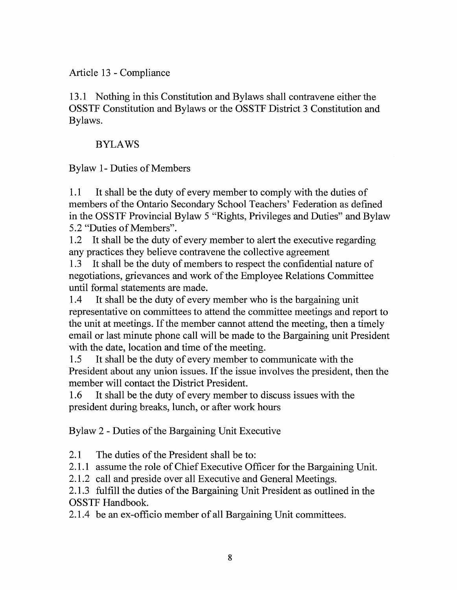#### Article 13- Compliance

13.1 Nothing in this Constitution and Bylaws shall contravene either the OSSTF Constitution and Bylaws or the OSSTF District 3 Constitution and Bylaws.

#### BYLAWS

#### Bylaw 1- Duties of Members

1.1 It shall be the duty of every member to comply with the duties of members of the Ontario Secondary School Teachers' Federation as defined in the OSSTF Provincial Bylaw 5 "Rights, Privileges and Duties" and Bylaw 5.2 "Duties of Members".

1.2 It shall be the duty of every member to alert the executive regarding any practices they believe contravene the collective agreement

1.3 It shall be the duty of members to respect the confidential nature of negotiations, grievances and work of the Employee Relations Committee until formal statements are made.

1.4 It shall be the duty of every member who is the bargaining unit representative on committees to attend the committee meetings and report to the unit at meetings. If the member cannot attend the meeting, then a timely email or last minute phone call will be made to the Bargaining unit President with the date, location and time of the meeting.

1.5 It shall be the duty of every member to communicate with the President about any union issues. If the issue involves the president, then the member will contact the District President.

1.6 It shall be the duty of every member to discuss issues with the president during breaks, lunch, or after work hours

Bylaw 2 - Duties of the Bargaining Unit Executive

2.1 The duties of the President shall be to:

2.1.1 assume the role of Chief Executive Officer for the Bargaining Unit.

2.1.2 call and preside over all Executive and General Meetings.

2.1.3 fulfill the duties of the Bargaining Unit President as outlined in the OSSTF Handbook.

2.1.4 be an ex-officio member of all Bargaining Unit committees.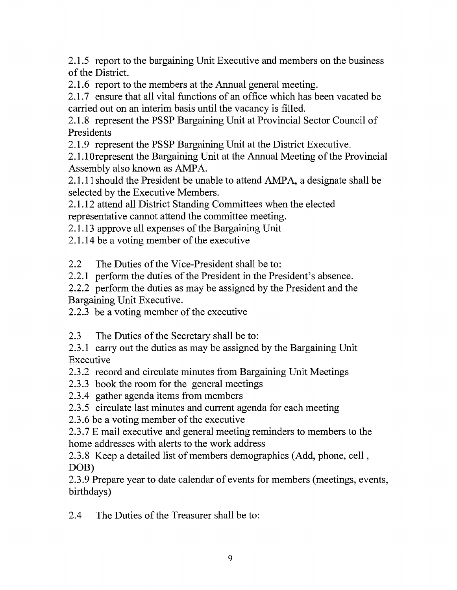2.1.5 report to the bargaining Unit Executive and members on the business of the District.

2.1.6 report to the members at the Annual general meeting.

2.1.7 ensure that all vital functions of an office which has been vacated be carried out on an interim basis until the vacancy is filled.

2.1.8 represent the PSSP Bargaining Unit at Provincial Sector Council of Presidents

2.1.9 represent the PSSP Bargaining Unit at the District Executive.

2.1.1 Orepresent the Bargaining Unit at the Annual Meeting of the Provincial Assembly also known as AMPA.

2.1.11 should the President be unable to attend AMPA, a designate shall be selected by the Executive Members.

2.1.12 attend all District Standing Committees when the elected representative cannot attend the committee meeting.

2.1.13 approve all expenses of the Bargaining Unit

2.1.14 be a voting member of the executive

2.2 The Duties of the Vice-President shall be to:

2.2.1 perform the duties of the President in the President's absence.

2.2.2 perform the duties as may be assigned by the President and the Bargaining Unit Executive.

2.2.3 be a voting member of the executive

2.3 The Duties of the Secretary shall be to:

2.3.1 carry out the duties as may be assigned by the Bargaining Unit Executive

2.3 .2 record and circulate minutes from Bargaining Unit Meetings

2.3 .3 book the room for the general meetings

2.3.4 gather agenda items from members

2.3.5 circulate last minutes and current agenda for each meeting

2.3.6 be a voting member of the executive

2.3. 7 E mail executive and general meeting reminders to members to the home addresses with alerts to the work address

2.3.8 Keep a detailed list of members demographics (Add, phone, cell, DOB)

2.3.9 Prepare year to date calendar of events for members (meetings, events, birthdays)

2.4 The Duties of the Treasurer shall be to: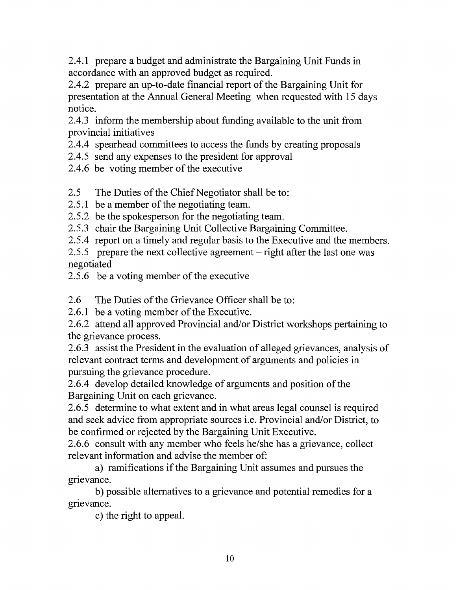2.4.1 prepare a budget and administrate the Bargaining Unit Funds in accordance with an approved budget as required.

2.4.2 prepare an up-to-date financial report of the Bargaining Unit for presentation at the Annual General Meeting when requested with 15 days notice.

2.4.3 inform the membership about funding available to the unit from provincial initiatives

2.4.4 spearhead committees to access the funds by creating proposals

2.4.5 send any expenses to the president for approval

2.4.6 be voting member of the executive

2.5 The Duties of the Chief Negotiator shall be to:

2.5.1 be a member of the negotiating team.

2.5.2 be the spokesperson for the negotiating team.

2.5.3 chair the Bargaining Unit Collective Bargaining Committee.

2.5.4 report on a timely and regular basis to the Executive and the members.

2.5.5 prepare the next collective agreement – right after the last one was negotiated

2.5 .6 be a voting member of the executive

2.6 The Duties of the Grievance Officer shall be to:

2.6.1 be a voting member of the Executive.

2.6.2 attend all approved Provincial and/or District workshops pertaining to the grievance process.

2.6.3 assist the President in the evaluation of alleged grievances, analysis of relevant contract terms and development of arguments and policies in pursuing the grievance procedure.

2.6.4 develop detailed knowledge of arguments and position of the Bargaining Unit on each grievance.

2.6.5 determine to what extent and in what areas legal counsel is required and seek advice from appropriate sources i.e. Provincial and/or District, to be confirmed or rejected by the Bargaining Unit Executive.

2.6.6 consult with any member who feels he/she has a grievance, collect relevant information and advise the member of:

a) ramifications if the Bargaining Unit assumes and pursues the grievance.

b) possible alternatives to a grievance and potential remedies for a grievance.

c) the right to appeal.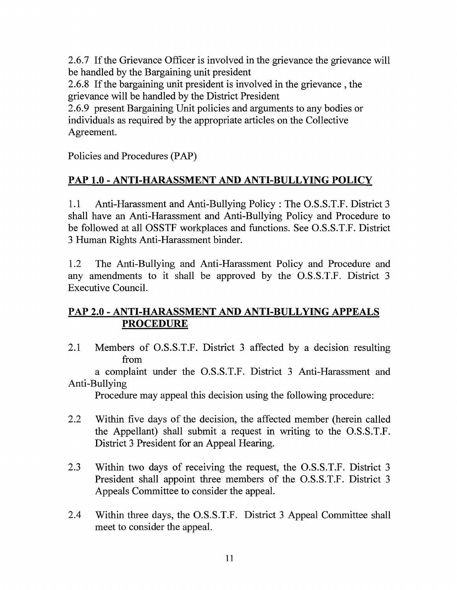2.6.7 If the Grievance Officer is involved in the grievance the grievance will be handled by the Bargaining unit president

2.6.8 If the bargaining unit president is involved in the grievance , the grievance will be handled by the District President

2.6.9 present Bargaining Unit policies and arguments to any bodies or individuals as required by the appropriate articles on the Collective Agreement.

Policies and Procedures (PAP)

### PAP 1.0- ANTI-HARASSMENT AND ANTI-BULLYING POLICY

1.1 Anti-Harassment and Anti-Bullying Policy: The O.S.S.T.F. District 3 shall have an Anti-Harassment and Anti-Bullying Policy and Procedure to be followed at all OSSTF workplaces and functions. See O.S.S.T.F. District 3 Human Rights Anti-Harassment binder.

1.2 The Anti-Bullying and Anti-Harassment Policy and Procedure and any amendments to it shall be approved by the O.S.S.T.F. District 3 Executive Council.

#### PAP 2.0- ANTI-HARASSMENT AND ANTI-BULLYING APPEALS PROCEDURE

2.1 Members of O.S.S.T.F. District 3 affected by a decision resulting from

a complaint under the O.S.S.T.F. District 3 Anti-Harassment and Anti-Bullying

Procedure may appeal this decision using the following procedure:

- 2.2 Within five days of the decision, the affected member (herein called the Appellant) shall submit a request in writing to the O.S.S.T.F. District 3 President for an Appeal Hearing.
- 2.3 Within two days of receiving the request, the O.S.S.T.F. District 3 President shall appoint three members of the O.S.S.T.F. District 3 Appeals Committee to consider the appeal.
- 2.4 Within three days, the O.S.S.T.F. District 3 Appeal Committee shall meet to consider the appeal.